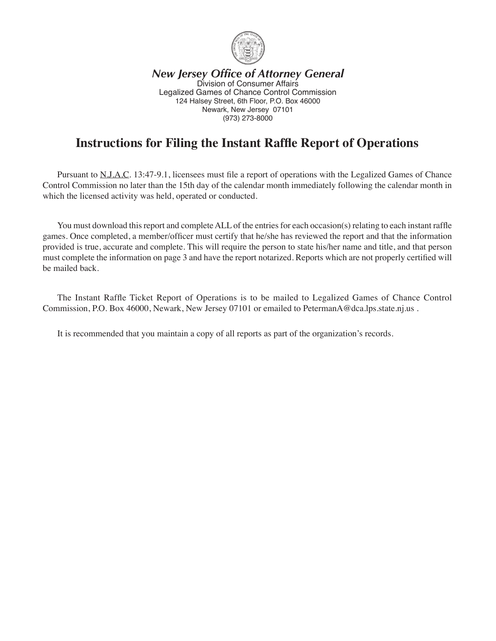

*New Jersey Office of Attorney General* Division of Consumer Affairs Legalized Games of Chance Control Commission 124 Halsey Street, 6th Floor, P.O. Box 46000 Newark, New Jersey 07101 (973) 273-8000

# **Instructions for Filing the Instant Raffle Report of Operations**

 Pursuant to N.J.A.C. 13:47-9.1, licensees must file a report of operations with the Legalized Games of Chance Control Commission no later than the 15th day of the calendar month immediately following the calendar month in which the licensed activity was held, operated or conducted.

You must download this report and complete ALL of the entries for each occasion(s) relating to each instant raffle games. Once completed, a member/officer must certify that he/she has reviewed the report and that the information provided is true, accurate and complete. This will require the person to state his/her name and title, and that person must complete the information on page 3 and have the report notarized. Reports which are not properly certified will be mailed back.

 The Instant Raffle Ticket Report of Operations is to be mailed to Legalized Games of Chance Control Commission, P.O. Box 46000, Newark, New Jersey 07101 or emailed to PetermanA@dca.lps.state.nj.us .

 It is recommended that you maintain a copy of all reports as part of the organization's records.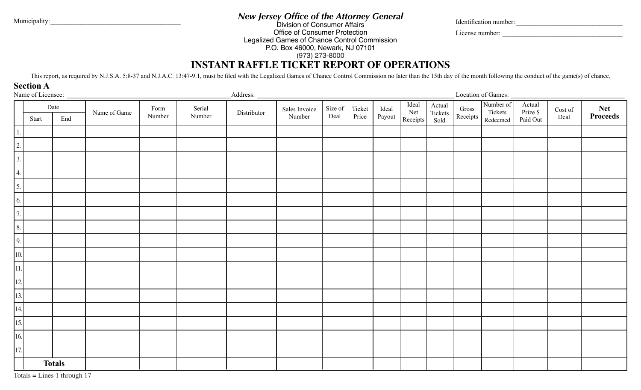*New Jersey Office of the Attorney General* Municipality:\_\_\_\_\_\_\_\_\_\_\_\_\_\_\_\_\_\_\_\_\_\_\_\_\_\_\_\_\_\_\_\_\_\_\_\_\_\_\_ Identification number:\_\_\_\_\_\_\_\_\_\_\_\_\_\_\_\_\_\_\_\_\_\_\_\_\_\_\_\_\_\_\_\_

License number: \_\_\_\_\_\_\_\_\_\_\_\_\_\_\_\_\_\_\_\_\_\_\_\_\_\_\_\_\_\_\_\_\_\_\_\_

Division of Consumer Affairs Office of Consumer Protection Legalized Games of Chance Control Commission P.O. Box 46000, Newark, NJ 07101 (973) 273-8000

# **INSTANT RAFFLE TICKET REPORT OF OPERATIONS**

This report, as required by N.J.S.A. 5:8-37 and N.J.A.C. 13:47-9.1, must be filed with the Legalized Games of Chance Control Commission no later than the 15th day of the month following the conduct of the game(s) of chance

**Section A**

|                                                                                                                                                              | Name of Licensee:<br>_Address: _ |               |              |                |                  |             | Location of Games:      |                 |                 |                 |                          |                           |                   |                                  |                                |                 |                 |
|--------------------------------------------------------------------------------------------------------------------------------------------------------------|----------------------------------|---------------|--------------|----------------|------------------|-------------|-------------------------|-----------------|-----------------|-----------------|--------------------------|---------------------------|-------------------|----------------------------------|--------------------------------|-----------------|-----------------|
|                                                                                                                                                              | Start                            | Date<br>End   | Name of Game | Form<br>Number | Serial<br>Number | Distributor | Sales Invoice<br>Number | Size of<br>Deal | Ticket<br>Price | Ideal<br>Payout | Ideal<br>Net<br>Receipts | Actual<br>Tickets<br>Sold | Gross<br>Receipts | Number of<br>Tickets<br>Redeemed | Actual<br>Prize \$<br>Paid Out | Cost of<br>Deal | Net<br>Proceeds |
|                                                                                                                                                              |                                  |               |              |                |                  |             |                         |                 |                 |                 |                          |                           |                   |                                  |                                |                 |                 |
| $\begin{array}{ c c c c c c c c }\n\hline\n1. & 2. & 3. & 4. & 5. & 6. & 7. & 8. & 9. & 10. & 11. & 12. & 13. & 14. & 15. & 16. & 17. & \hline\n\end{array}$ |                                  |               |              |                |                  |             |                         |                 |                 |                 |                          |                           |                   |                                  |                                |                 |                 |
|                                                                                                                                                              |                                  |               |              |                |                  |             |                         |                 |                 |                 |                          |                           |                   |                                  |                                |                 |                 |
|                                                                                                                                                              |                                  |               |              |                |                  |             |                         |                 |                 |                 |                          |                           |                   |                                  |                                |                 |                 |
|                                                                                                                                                              |                                  |               |              |                |                  |             |                         |                 |                 |                 |                          |                           |                   |                                  |                                |                 |                 |
|                                                                                                                                                              |                                  |               |              |                |                  |             |                         |                 |                 |                 |                          |                           |                   |                                  |                                |                 |                 |
|                                                                                                                                                              |                                  |               |              |                |                  |             |                         |                 |                 |                 |                          |                           |                   |                                  |                                |                 |                 |
|                                                                                                                                                              |                                  |               |              |                |                  |             |                         |                 |                 |                 |                          |                           |                   |                                  |                                |                 |                 |
|                                                                                                                                                              |                                  |               |              |                |                  |             |                         |                 |                 |                 |                          |                           |                   |                                  |                                |                 |                 |
|                                                                                                                                                              |                                  |               |              |                |                  |             |                         |                 |                 |                 |                          |                           |                   |                                  |                                |                 |                 |
|                                                                                                                                                              |                                  |               |              |                |                  |             |                         |                 |                 |                 |                          |                           |                   |                                  |                                |                 |                 |
|                                                                                                                                                              |                                  |               |              |                |                  |             |                         |                 |                 |                 |                          |                           |                   |                                  |                                |                 |                 |
|                                                                                                                                                              |                                  |               |              |                |                  |             |                         |                 |                 |                 |                          |                           |                   |                                  |                                |                 |                 |
|                                                                                                                                                              |                                  |               |              |                |                  |             |                         |                 |                 |                 |                          |                           |                   |                                  |                                |                 |                 |
|                                                                                                                                                              |                                  |               |              |                |                  |             |                         |                 |                 |                 |                          |                           |                   |                                  |                                |                 |                 |
|                                                                                                                                                              |                                  |               |              |                |                  |             |                         |                 |                 |                 |                          |                           |                   |                                  |                                |                 |                 |
|                                                                                                                                                              |                                  |               |              |                |                  |             |                         |                 |                 |                 |                          |                           |                   |                                  |                                |                 |                 |
|                                                                                                                                                              |                                  | <b>Totals</b> |              |                |                  |             |                         |                 |                 |                 |                          |                           |                   |                                  |                                |                 |                 |